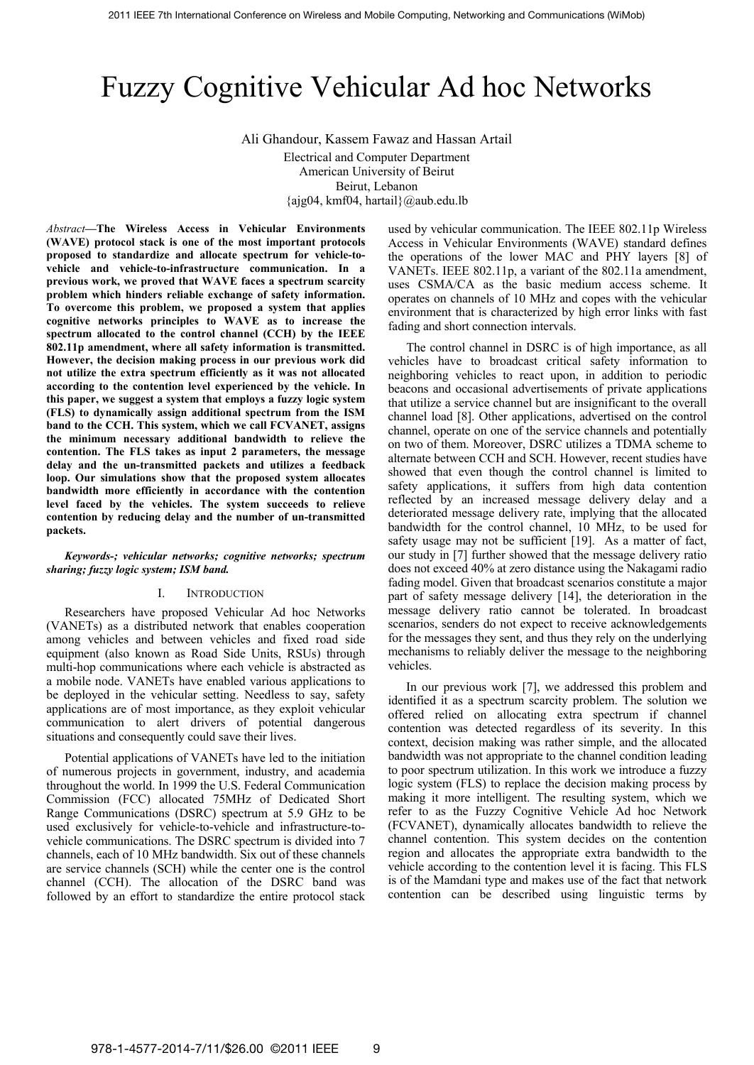# Fuzzy Cognitive Vehicular Ad hoc Networks

Ali Ghandour, Kassem Fawaz and Hassan Artail Electrical and Computer Department American University of Beirut Beirut, Lebanon {ajg04, kmf04, hartail}@aub.edu.lb

*Abstract***—The Wireless Access in Vehicular Environments (WAVE) protocol stack is one of the most important protocols proposed to standardize and allocate spectrum for vehicle-tovehicle and vehicle-to-infrastructure communication. In a previous work, we proved that WAVE faces a spectrum scarcity problem which hinders reliable exchange of safety information. To overcome this problem, we proposed a system that applies cognitive networks principles to WAVE as to increase the spectrum allocated to the control channel (CCH) by the IEEE 802.11p amendment, where all safety information is transmitted. However, the decision making process in our previous work did not utilize the extra spectrum efficiently as it was not allocated according to the contention level experienced by the vehicle. In this paper, we suggest a system that employs a fuzzy logic system (FLS) to dynamically assign additional spectrum from the ISM band to the CCH. This system, which we call FCVANET, assigns the minimum necessary additional bandwidth to relieve the contention. The FLS takes as input 2 parameters, the message delay and the un-transmitted packets and utilizes a feedback loop. Our simulations show that the proposed system allocates bandwidth more efficiently in accordance with the contention level faced by the vehicles. The system succeeds to relieve contention by reducing delay and the number of un-transmitted packets.**

#### *Keywords-; vehicular networks; cognitive networks; spectrum sharing; fuzzy logic system; ISM band.*

## I. INTRODUCTION

Researchers have proposed Vehicular Ad hoc Networks (VANETs) as a distributed network that enables cooperation among vehicles and between vehicles and fixed road side equipment (also known as Road Side Units, RSUs) through multi-hop communications where each vehicle is abstracted as a mobile node. VANETs have enabled various applications to be deployed in the vehicular setting. Needless to say, safety applications are of most importance, as they exploit vehicular communication to alert drivers of potential dangerous situations and consequently could save their lives.

Potential applications of VANETs have led to the initiation of numerous projects in government, industry, and academia throughout the world. In 1999 the U.S. Federal Communication Commission (FCC) allocated 75MHz of Dedicated Short Range Communications (DSRC) spectrum at 5.9 GHz to be used exclusively for vehicle-to-vehicle and infrastructure-tovehicle communications. The DSRC spectrum is divided into 7 channels, each of 10 MHz bandwidth. Six out of these channels are service channels (SCH) while the center one is the control channel (CCH). The allocation of the DSRC band was followed by an effort to standardize the entire protocol stack

used by vehicular communication. The IEEE 802.11p Wireless Access in Vehicular Environments (WAVE) standard defines the operations of the lower MAC and PHY layers [8] of VANETs. IEEE 802.11p, a variant of the 802.11a amendment, uses CSMA/CA as the basic medium access scheme. It operates on channels of 10 MHz and copes with the vehicular environment that is characterized by high error links with fast fading and short connection intervals.

The control channel in DSRC is of high importance, as all vehicles have to broadcast critical safety information to neighboring vehicles to react upon, in addition to periodic beacons and occasional advertisements of private applications that utilize a service channel but are insignificant to the overall channel load [8]. Other applications, advertised on the control channel, operate on one of the service channels and potentially on two of them. Moreover, DSRC utilizes a TDMA scheme to alternate between CCH and SCH. However, recent studies have showed that even though the control channel is limited to safety applications, it suffers from high data contention reflected by an increased message delivery delay and a deteriorated message delivery rate, implying that the allocated bandwidth for the control channel, 10 MHz, to be used for safety usage may not be sufficient [19]. As a matter of fact, our study in [7] further showed that the message delivery ratio does not exceed 40% at zero distance using the Nakagami radio fading model. Given that broadcast scenarios constitute a major part of safety message delivery [14], the deterioration in the message delivery ratio cannot be tolerated. In broadcast scenarios, senders do not expect to receive acknowledgements for the messages they sent, and thus they rely on the underlying mechanisms to reliably deliver the message to the neighboring vehicles.

In our previous work [7], we addressed this problem and identified it as a spectrum scarcity problem. The solution we offered relied on allocating extra spectrum if channel contention was detected regardless of its severity. In this context, decision making was rather simple, and the allocated bandwidth was not appropriate to the channel condition leading to poor spectrum utilization. In this work we introduce a fuzzy logic system (FLS) to replace the decision making process by making it more intelligent. The resulting system, which we refer to as the Fuzzy Cognitive Vehicle Ad hoc Network (FCVANET), dynamically allocates bandwidth to relieve the channel contention. This system decides on the contention region and allocates the appropriate extra bandwidth to the vehicle according to the contention level it is facing. This FLS is of the Mamdani type and makes use of the fact that network contention can be described using linguistic terms by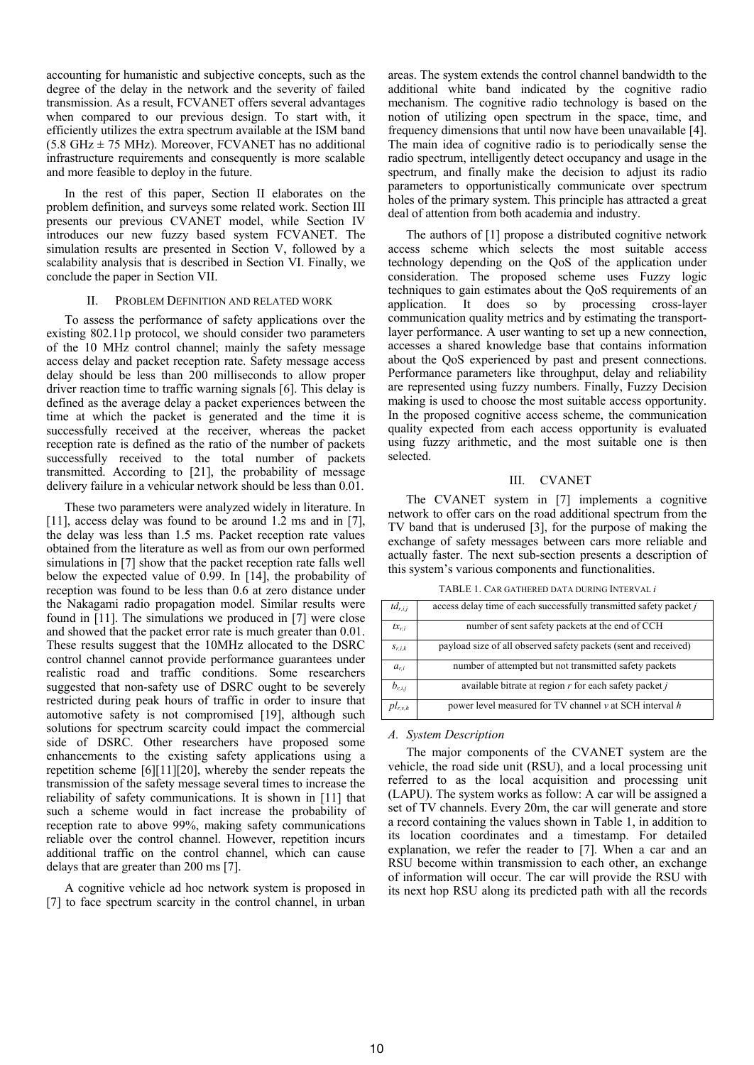accounting for humanistic and subjective concepts, such as the degree of the delay in the network and the severity of failed transmission. As a result, FCVANET offers several advantages when compared to our previous design. To start with, it efficiently utilizes the extra spectrum available at the ISM band  $(5.8 \text{ GHz} \pm 75 \text{ MHz})$ . Moreover, FCVANET has no additional infrastructure requirements and consequently is more scalable and more feasible to deploy in the future.

In the rest of this paper, Section II elaborates on the problem definition, and surveys some related work. Section III presents our previous CVANET model, while Section IV introduces our new fuzzy based system FCVANET. The simulation results are presented in Section V, followed by a scalability analysis that is described in Section VI. Finally, we conclude the paper in Section VII.

#### II. PROBLEM DEFINITION AND RELATED WORK

To assess the performance of safety applications over the existing 802.11p protocol, we should consider two parameters of the 10 MHz control channel; mainly the safety message access delay and packet reception rate. Safety message access delay should be less than 200 milliseconds to allow proper driver reaction time to traffic warning signals [6]. This delay is defined as the average delay a packet experiences between the time at which the packet is generated and the time it is successfully received at the receiver, whereas the packet reception rate is defined as the ratio of the number of packets successfully received to the total number of packets transmitted. According to [21], the probability of message delivery failure in a vehicular network should be less than 0.01.

These two parameters were analyzed widely in literature. In [11], access delay was found to be around 1.2 ms and in [7], the delay was less than 1.5 ms. Packet reception rate values obtained from the literature as well as from our own performed simulations in [7] show that the packet reception rate falls well below the expected value of 0.99. In [14], the probability of reception was found to be less than 0.6 at zero distance under the Nakagami radio propagation model. Similar results were found in [11]. The simulations we produced in [7] were close and showed that the packet error rate is much greater than 0.01. These results suggest that the 10MHz allocated to the DSRC control channel cannot provide performance guarantees under realistic road and traffic conditions. Some researchers suggested that non-safety use of DSRC ought to be severely restricted during peak hours of traffic in order to insure that automotive safety is not compromised [19], although such solutions for spectrum scarcity could impact the commercial side of DSRC. Other researchers have proposed some enhancements to the existing safety applications using a repetition scheme [6][11][20], whereby the sender repeats the transmission of the safety message several times to increase the reliability of safety communications. It is shown in [11] that such a scheme would in fact increase the probability of reception rate to above 99%, making safety communications reliable over the control channel. However, repetition incurs additional traffic on the control channel, which can cause delays that are greater than 200 ms [7].

A cognitive vehicle ad hoc network system is proposed in [7] to face spectrum scarcity in the control channel, in urban

areas. The system extends the control channel bandwidth to the additional white band indicated by the cognitive radio mechanism. The cognitive radio technology is based on the notion of utilizing open spectrum in the space, time, and frequency dimensions that until now have been unavailable [4]. The main idea of cognitive radio is to periodically sense the radio spectrum, intelligently detect occupancy and usage in the spectrum, and finally make the decision to adjust its radio parameters to opportunistically communicate over spectrum holes of the primary system. This principle has attracted a great deal of attention from both academia and industry.

The authors of [1] propose a distributed cognitive network access scheme which selects the most suitable access technology depending on the QoS of the application under consideration. The proposed scheme uses Fuzzy logic techniques to gain estimates about the QoS requirements of an application. It does so by processing cross-layer communication quality metrics and by estimating the transportlayer performance. A user wanting to set up a new connection, accesses a shared knowledge base that contains information about the QoS experienced by past and present connections. Performance parameters like throughput, delay and reliability are represented using fuzzy numbers. Finally, Fuzzy Decision making is used to choose the most suitable access opportunity. In the proposed cognitive access scheme, the communication quality expected from each access opportunity is evaluated using fuzzy arithmetic, and the most suitable one is then selected.

## III. CVANET

The CVANET system in [7] implements a cognitive network to offer cars on the road additional spectrum from the TV band that is underused [3], for the purpose of making the exchange of safety messages between cars more reliable and actually faster. The next sub-section presents a description of this system's various components and functionalities.

TABLE 1. CAR GATHERED DATA DURING INTERVAL *i*

| $td_{r,i,j}$ | access delay time of each successfully transmitted safety packet j |
|--------------|--------------------------------------------------------------------|
| $tx_{r,i}$   | number of sent safety packets at the end of CCH                    |
| $S_{r,i,k}$  | payload size of all observed safety packets (sent and received)    |
| $a_{r,i}$    | number of attempted but not transmitted safety packets             |
| $b_{r,i,j}$  | available bitrate at region $r$ for each safety packet $j$         |
| $pl_{r,v,h}$ | power level measured for TV channel $\nu$ at SCH interval h        |

## *A. System Description*

The major components of the CVANET system are the vehicle, the road side unit (RSU), and a local processing unit referred to as the local acquisition and processing unit (LAPU). The system works as follow: A car will be assigned a set of TV channels. Every 20m, the car will generate and store a record containing the values shown in Table 1, in addition to its location coordinates and a timestamp. For detailed explanation, we refer the reader to [7]. When a car and an RSU become within transmission to each other, an exchange of information will occur. The car will provide the RSU with its next hop RSU along its predicted path with all the records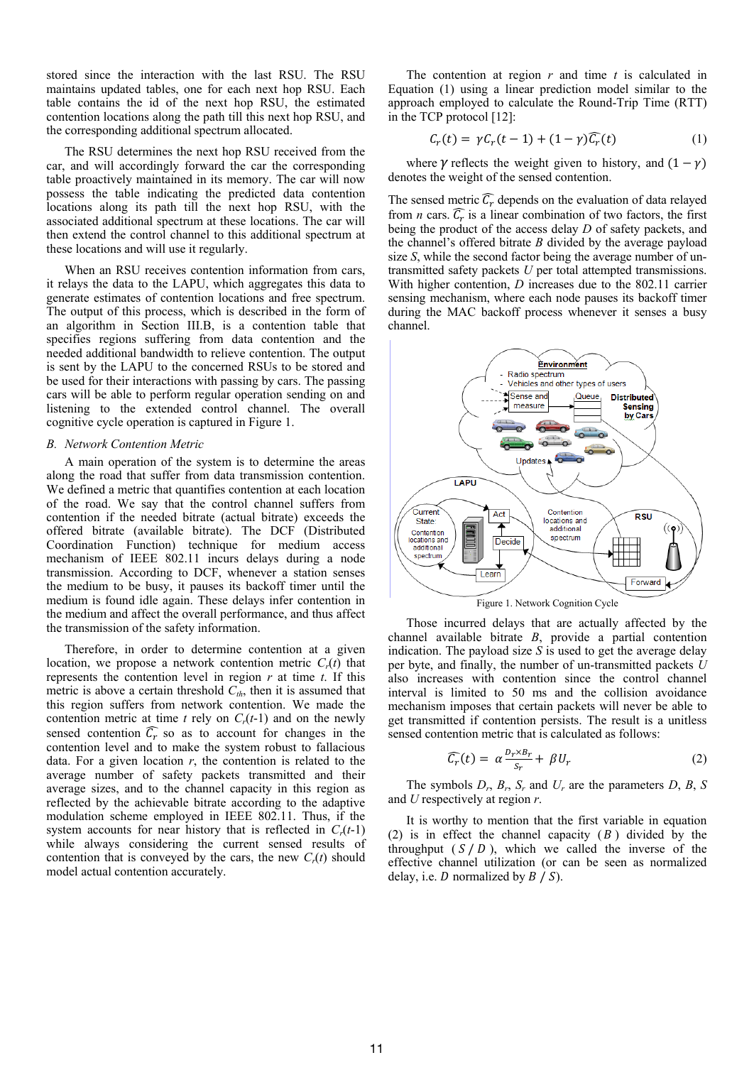stored since the interaction with the last RSU. The RSU maintains updated tables, one for each next hop RSU. Each table contains the id of the next hop RSU, the estimated contention locations along the path till this next hop RSU, and the corresponding additional spectrum allocated.

The RSU determines the next hop RSU received from the car, and will accordingly forward the car the corresponding table proactively maintained in its memory. The car will now possess the table indicating the predicted data contention locations along its path till the next hop RSU, with the associated additional spectrum at these locations. The car will then extend the control channel to this additional spectrum at these locations and will use it regularly.

When an RSU receives contention information from cars, it relays the data to the LAPU, which aggregates this data to generate estimates of contention locations and free spectrum. The output of this process, which is described in the form of an algorithm in Section III.B, is a contention table that specifies regions suffering from data contention and the needed additional bandwidth to relieve contention. The output is sent by the LAPU to the concerned RSUs to be stored and be used for their interactions with passing by cars. The passing cars will be able to perform regular operation sending on and listening to the extended control channel. The overall cognitive cycle operation is captured in Figure 1.

## *B. Network Contention Metric*

A main operation of the system is to determine the areas along the road that suffer from data transmission contention. We defined a metric that quantifies contention at each location of the road. We say that the control channel suffers from contention if the needed bitrate (actual bitrate) exceeds the offered bitrate (available bitrate). The DCF (Distributed Coordination Function) technique for medium access mechanism of IEEE 802.11 incurs delays during a node transmission. According to DCF, whenever a station senses the medium to be busy, it pauses its backoff timer until the medium is found idle again. These delays infer contention in the medium and affect the overall performance, and thus affect the transmission of the safety information.

Therefore, in order to determine contention at a given location, we propose a network contention metric  $C_r(t)$  that represents the contention level in region *r* at time *t*. If this metric is above a certain threshold  $C_{th}$ , then it is assumed that this region suffers from network contention. We made the contention metric at time  $t$  rely on  $C_r(t-1)$  and on the newly sensed contention  $\mathcal{C}_r$  so as to account for changes in the contention level and to make the system robust to fallacious data. For a given location  $r$ , the contention is related to the average number of safety packets transmitted and their average sizes, and to the channel capacity in this region as reflected by the achievable bitrate according to the adaptive modulation scheme employed in IEEE 802.11. Thus, if the system accounts for near history that is reflected in  $C_r(t-1)$ while always considering the current sensed results of contention that is conveyed by the cars, the new  $C_r(t)$  should model actual contention accurately.

The contention at region *r* and time *t* is calculated in Equation (1) using a linear prediction model similar to the approach employed to calculate the Round-Trip Time (RTT) in the TCP protocol [12]:

$$
C_r(t) = \gamma C_r(t-1) + (1-\gamma)\widehat{C_r}(t) \tag{1}
$$

where  $\gamma$  reflects the weight given to history, and  $(1 - \gamma)$ denotes the weight of the sensed contention.

The sensed metric  $C_r$  depends on the evaluation of data relayed from *n* cars.  $C_r$  is a linear combination of two factors, the first being the product of the access delay *D* of safety packets, and the channel's offered bitrate *B* divided by the average payload size *S*, while the second factor being the average number of untransmitted safety packets *U* per total attempted transmissions. With higher contention, *D* increases due to the 802.11 carrier sensing mechanism, where each node pauses its backoff timer during the MAC backoff process whenever it senses a busy channel.



Those incurred delays that are actually affected by the channel available bitrate *B*, provide a partial contention indication. The payload size *S* is used to get the average delay per byte, and finally, the number of un-transmitted packets *U* also increases with contention since the control channel interval is limited to 50 ms and the collision avoidance mechanism imposes that certain packets will never be able to get transmitted if contention persists. The result is a unitless sensed contention metric that is calculated as follows:

$$
\widehat{C_r}(t) = \alpha \frac{D_r \times B_r}{S_r} + \beta U_r \tag{2}
$$

The symbols  $D_r$ ,  $B_r$ ,  $S_r$  and  $U_r$  are the parameters  $D$ ,  $B_s$ ,  $S$ and *U* respectively at region *r*.

It is worthy to mention that the first variable in equation (2) is in effect the channel capacity  $(B)$  divided by the throughput  $(S / D)$ , which we called the inverse of the effective channel utilization (or can be seen as normalized delay, i.e.  $D$  normalized by  $B / S$ ).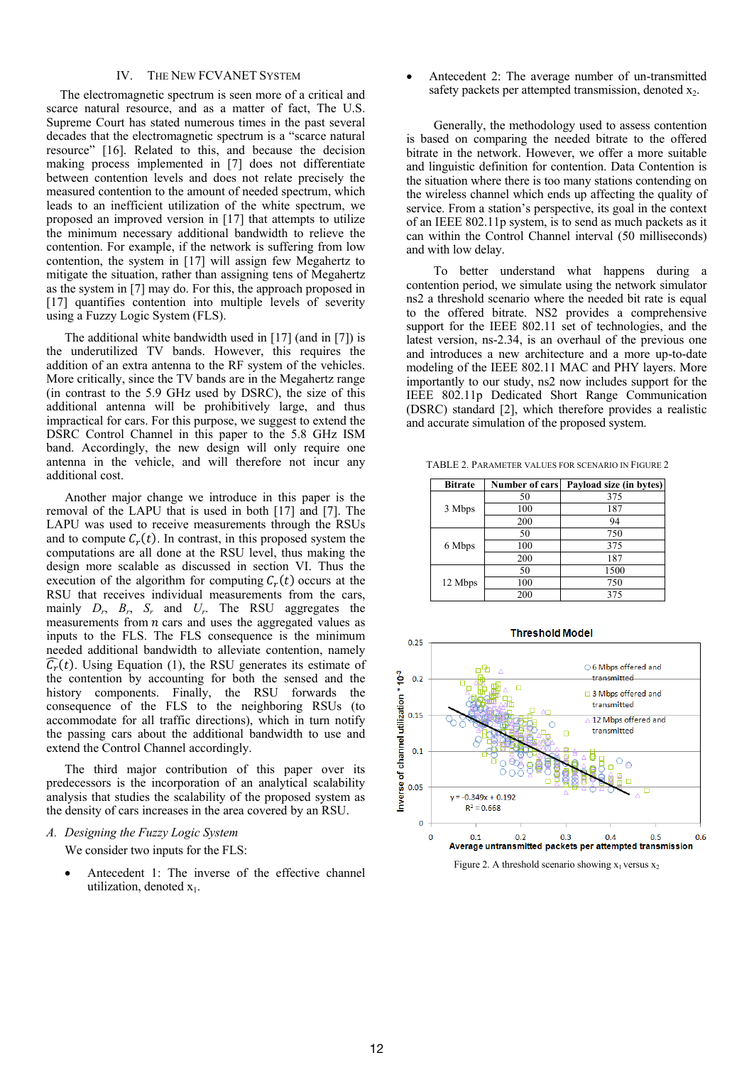## IV. THE NEW FCVANET SYSTEM

The electromagnetic spectrum is seen more of a critical and scarce natural resource, and as a matter of fact, The U.S. Supreme Court has stated numerous times in the past several decades that the electromagnetic spectrum is a "scarce natural resource" [16]. Related to this, and because the decision making process implemented in [7] does not differentiate between contention levels and does not relate precisely the measured contention to the amount of needed spectrum, which leads to an inefficient utilization of the white spectrum, we proposed an improved version in [17] that attempts to utilize the minimum necessary additional bandwidth to relieve the contention. For example, if the network is suffering from low contention, the system in [17] will assign few Megahertz to mitigate the situation, rather than assigning tens of Megahertz as the system in [7] may do. For this, the approach proposed in [17] quantifies contention into multiple levels of severity using a Fuzzy Logic System (FLS).

The additional white bandwidth used in [17] (and in [7]) is the underutilized TV bands. However, this requires the addition of an extra antenna to the RF system of the vehicles. More critically, since the TV bands are in the Megahertz range (in contrast to the 5.9 GHz used by DSRC), the size of this additional antenna will be prohibitively large, and thus impractical for cars. For this purpose, we suggest to extend the DSRC Control Channel in this paper to the 5.8 GHz ISM band. Accordingly, the new design will only require one antenna in the vehicle, and will therefore not incur any additional cost.

Another major change we introduce in this paper is the removal of the LAPU that is used in both [17] and [7]. The LAPU was used to receive measurements through the RSUs and to compute  $C_r(t)$ . In contrast, in this proposed system the computations are all done at the RSU level, thus making the design more scalable as discussed in section VI. Thus the execution of the algorithm for computing  $C_r(t)$  occurs at the RSU that receives individual measurements from the cars, mainly  $D_r$ ,  $B_r$ ,  $S_r$  and  $U_r$ . The RSU aggregates the measurements from  $n$  cars and uses the aggregated values as inputs to the FLS. The FLS consequence is the minimum needed additional bandwidth to alleviate contention, namely  $C<sub>r</sub>(t)$ . Using Equation (1), the RSU generates its estimate of the contention by accounting for both the sensed and the history components. Finally, the RSU forwards the consequence of the FLS to the neighboring RSUs (to accommodate for all traffic directions), which in turn notify the passing cars about the additional bandwidth to use and extend the Control Channel accordingly.

The third major contribution of this paper over its predecessors is the incorporation of an analytical scalability analysis that studies the scalability of the proposed system as the density of cars increases in the area covered by an RSU.

#### *A. Designing the Fuzzy Logic System*

We consider two inputs for the FLS:

Antecedent 1: The inverse of the effective channel utilization, denoted  $x_1$ .

Antecedent 2: The average number of un-transmitted safety packets per attempted transmission, denoted  $x_2$ .

Generally, the methodology used to assess contention is based on comparing the needed bitrate to the offered bitrate in the network. However, we offer a more suitable and linguistic definition for contention. Data Contention is the situation where there is too many stations contending on the wireless channel which ends up affecting the quality of service. From a station's perspective, its goal in the context of an IEEE 802.11p system, is to send as much packets as it can within the Control Channel interval (50 milliseconds) and with low delay.

To better understand what happens during a contention period, we simulate using the network simulator ns2 a threshold scenario where the needed bit rate is equal to the offered bitrate. NS2 provides a comprehensive support for the IEEE 802.11 set of technologies, and the latest version, ns-2.34, is an overhaul of the previous one and introduces a new architecture and a more up-to-date modeling of the IEEE 802.11 MAC and PHY layers. More importantly to our study, ns2 now includes support for the IEEE 802.11p Dedicated Short Range Communication (DSRC) standard [2], which therefore provides a realistic and accurate simulation of the proposed system.

TABLE 2. PARAMETER VALUES FOR SCENARIO IN FIGURE 2

| <b>Bitrate</b> | Number of cars | Payload size (in bytes) |
|----------------|----------------|-------------------------|
|                | 50             | 375                     |
| 3 Mbps         | 100            | 187                     |
|                | 200            | 94                      |
|                | 50             | 750                     |
| 6 Mbps         | 100            | 375                     |
|                | 200            | 187                     |
|                | 50             | 1500                    |
| 12 Mbps        | 100            | 750                     |
|                | 200            | 375                     |



Figure 2. A threshold scenario showing  $x_1$  versus  $x_2$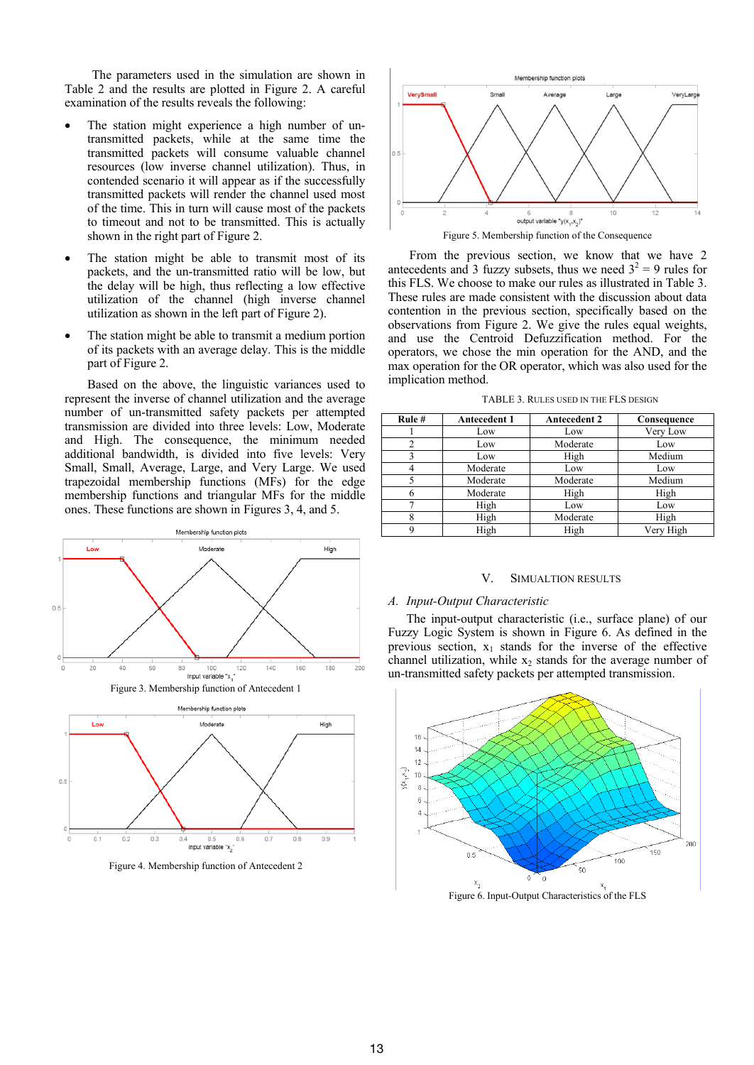The parameters used in the simulation are shown in Table 2 and the results are plotted in Figure 2. A careful examination of the results reveals the following:

- The station might experience a high number of untransmitted packets, while at the same time the transmitted packets will consume valuable channel resources (low inverse channel utilization). Thus, in contended scenario it will appear as if the successfully transmitted packets will render the channel used most of the time. This in turn will cause most of the packets to timeout and not to be transmitted. This is actually shown in the right part of Figure 2.
- The station might be able to transmit most of its packets, and the un-transmitted ratio will be low, but the delay will be high, thus reflecting a low effective utilization of the channel (high inverse channel utilization as shown in the left part of Figure 2).
- The station might be able to transmit a medium portion of its packets with an average delay. This is the middle part of Figure 2.

Based on the above, the linguistic variances used to represent the inverse of channel utilization and the average number of un-transmitted safety packets per attempted transmission are divided into three levels: Low, Moderate and High. The consequence, the minimum needed additional bandwidth, is divided into five levels: Very Small, Small, Average, Large, and Very Large. We used trapezoidal membership functions (MFs) for the edge membership functions and triangular MFs for the middle ones. These functions are shown in Figures 3, 4, and 5.





Figure 4. Membership function of Antecedent 2



Figure 5. Membership function of the Consequence

From the previous section, we know that we have 2 antecedents and 3 fuzzy subsets, thus we need  $3^2 = 9$  rules for this FLS. We choose to make our rules as illustrated in Table 3. These rules are made consistent with the discussion about data contention in the previous section, specifically based on the observations from Figure 2. We give the rules equal weights, and use the Centroid Defuzzification method. For the operators, we chose the min operation for the AND, and the max operation for the OR operator, which was also used for the implication method.

TABLE 3. RULES USED IN THE FLS DESIGN

| Rule# | <b>Antecedent 1</b> | <b>Antecedent 2</b> | Consequence |
|-------|---------------------|---------------------|-------------|
|       | Low                 | Low                 | Very Low    |
| 2     | Low                 | Moderate            | Low         |
| 3     | Low                 | High                | Medium      |
| 4     | Moderate            | Low                 | Low         |
|       | Moderate            | Moderate            | Medium      |
| 6     | Moderate            | High                | High        |
|       | High                | Low                 | Low         |
| 8     | High                | Moderate            | High        |
| 9     | High                | High                | Very High   |

#### V. SIMUALTION RESULTS

## *A. Input-Output Characteristic*

The input-output characteristic (i.e., surface plane) of our Fuzzy Logic System is shown in Figure 6. As defined in the previous section,  $x_1$  stands for the inverse of the effective channel utilization, while  $x<sub>2</sub>$  stands for the average number of un-transmitted safety packets per attempted transmission.



Figure 6. Input-Output Characteristics of the FLS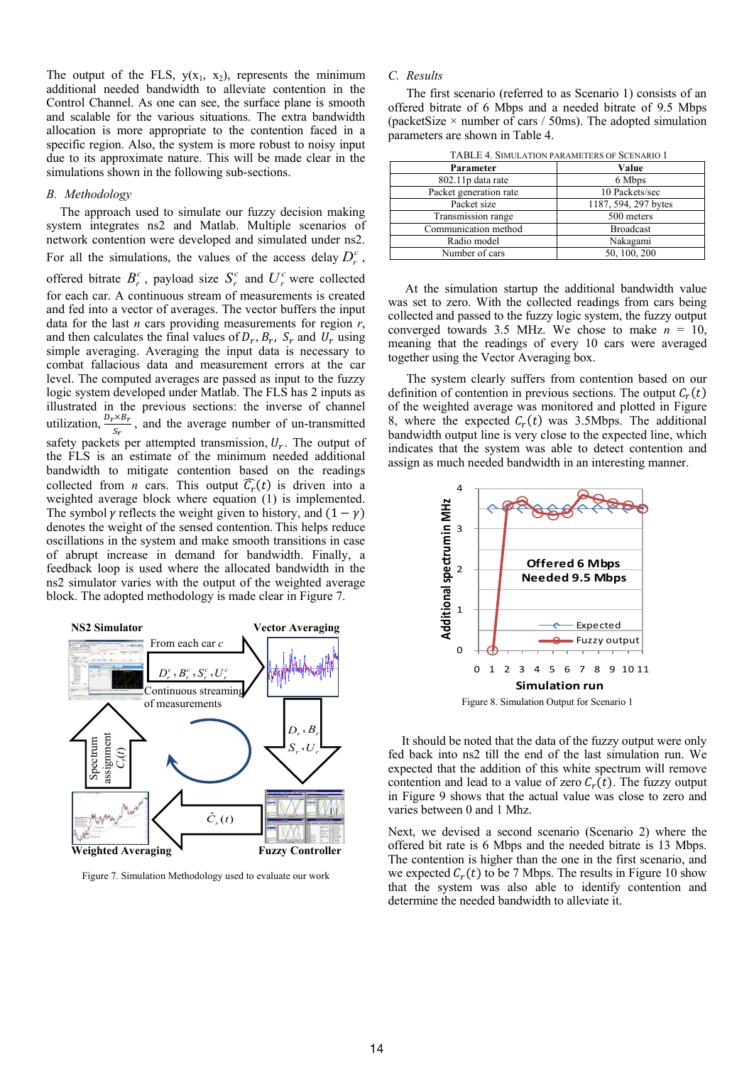The output of the FLS,  $y(x_1, x_2)$ , represents the minimum additional needed bandwidth to alleviate contention in the Control Channel. As one can see, the surface plane is smooth and scalable for the various situations. The extra bandwidth allocation is more appropriate to the contention faced in a specific region. Also, the system is more robust to noisy input due to its approximate nature. This will be made clear in the simulations shown in the following sub-sections.

#### *B. Methodology*

The approach used to simulate our fuzzy decision making system integrates ns2 and Matlab. Multiple scenarios of network contention were developed and simulated under ns2. For all the simulations, the values of the access delay  $D_r^c$ , offered bitrate  $B_r^c$ , payload size  $S_r^c$  and  $U_r^c$  were collected

for each car. A continuous stream of measurements is created and fed into a vector of averages. The vector buffers the input data for the last *n* cars providing measurements for region *r*, and then calculates the final values of  $D_r$ ,  $B_r$ ,  $S_r$  and  $U_r$  using simple averaging. Averaging the input data is necessary to combat fallacious data and measurement errors at the car level. The computed averages are passed as input to the fuzzy logic system developed under Matlab. The FLS has 2 inputs as illustrated in the previous sections: the inverse of channel utilization,  $\frac{D_r \times B_r}{c}$  $\frac{1}{s_r}$ , and the average number of un-transmitted safety packets per attempted transmission,  $U_r$ . The output of the FLS is an estimate of the minimum needed additional bandwidth to mitigate contention based on the readings collected from *n* cars. This output  $\widehat{C}_r(t)$  is driven into a weighted average block where equation (1) is implemented. The symbol  $\gamma$  reflects the weight given to history, and  $(1 - \gamma)$ denotes the weight of the sensed contention. This helps reduce oscillations in the system and make smooth transitions in case of abrupt increase in demand for bandwidth. Finally, a feedback loop is used where the allocated bandwidth in the ns2 simulator varies with the output of the weighted average block. The adopted methodology is made clear in Figure 7.



Figure 7. Simulation Methodology used to evaluate our work

## *C. Results*

The first scenario (referred to as Scenario 1) consists of an offered bitrate of 6 Mbps and a needed bitrate of 9.5 Mbps (packetSize  $\times$  number of cars / 50ms). The adopted simulation parameters are shown in Table 4.

| TABLE 4. SIMULATION PARAMETERS OF SCENARIO T |                      |  |  |  |
|----------------------------------------------|----------------------|--|--|--|
| Parameter                                    | Value                |  |  |  |
| 802.11p data rate                            | 6 Mbps               |  |  |  |
| Packet generation rate                       | 10 Packets/sec       |  |  |  |
| Packet size                                  | 1187, 594, 297 bytes |  |  |  |
| Transmission range                           | 500 meters           |  |  |  |
| Communication method                         | <b>Broadcast</b>     |  |  |  |
| Radio model                                  | Nakagami             |  |  |  |
| Number of cars                               | 50, 100, 200         |  |  |  |

 $T_{\rm H}$ 

At the simulation startup the additional bandwidth value was set to zero. With the collected readings from cars being collected and passed to the fuzzy logic system, the fuzzy output converged towards 3.5 MHz. We chose to make  $n = 10$ , meaning that the readings of every 10 cars were averaged together using the Vector Averaging box.

The system clearly suffers from contention based on our definition of contention in previous sections. The output  $C_r(t)$ of the weighted average was monitored and plotted in Figure 8, where the expected  $C<sub>r</sub>(t)$  was 3.5Mbps. The additional bandwidth output line is very close to the expected line, which indicates that the system was able to detect contention and assign as much needed bandwidth in an interesting manner.



It should be noted that the data of the fuzzy output were only fed back into ns2 till the end of the last simulation run. We expected that the addition of this white spectrum will remove contention and lead to a value of zero  $C_r(t)$ . The fuzzy output in Figure 9 shows that the actual value was close to zero and varies between 0 and 1 Mhz.

Next, we devised a second scenario (Scenario 2) where the offered bit rate is 6 Mbps and the needed bitrate is 13 Mbps. The contention is higher than the one in the first scenario, and we expected  $C_r(t)$  to be 7 Mbps. The results in Figure 10 show that the system was also able to identify contention and determine the needed bandwidth to alleviate it.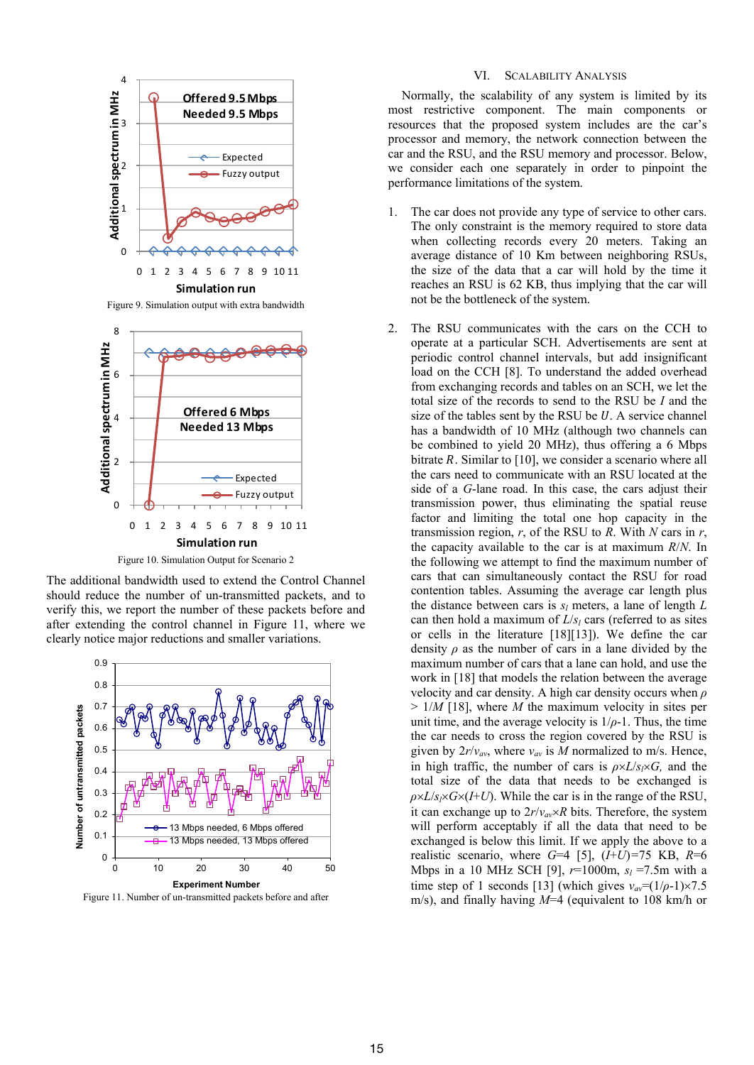

Figure 9. Simulation output with extra bandwidth



Figure 10. Simulation Output for Scenario 2

The additional bandwidth used to extend the Control Channel should reduce the number of un-transmitted packets, and to verify this, we report the number of these packets before and after extending the control channel in Figure 11, where we clearly notice major reductions and smaller variations.



Figure 11. Number of un-transmitted packets before and after

## VI. SCALABILITY ANALYSIS

Normally, the scalability of any system is limited by its most restrictive component. The main components or resources that the proposed system includes are the car's processor and memory, the network connection between the car and the RSU, and the RSU memory and processor. Below, we consider each one separately in order to pinpoint the performance limitations of the system.

- 1. The car does not provide any type of service to other cars. The only constraint is the memory required to store data when collecting records every 20 meters. Taking an average distance of 10 Km between neighboring RSUs, the size of the data that a car will hold by the time it reaches an RSU is 62 KB, thus implying that the car will not be the bottleneck of the system.
- 2. The RSU communicates with the cars on the CCH to operate at a particular SCH. Advertisements are sent at periodic control channel intervals, but add insignificant load on the CCH [8]. To understand the added overhead from exchanging records and tables on an SCH, we let the total size of the records to send to the RSU be *I* and the size of the tables sent by the RSU be  $U$ . A service channel has a bandwidth of 10 MHz (although two channels can be combined to yield 20 MHz), thus offering a 6 Mbps bitrate  $R$ . Similar to [10], we consider a scenario where all the cars need to communicate with an RSU located at the side of a *G*-lane road. In this case, the cars adjust their transmission power, thus eliminating the spatial reuse factor and limiting the total one hop capacity in the transmission region, *r*, of the RSU to *R*. With *N* cars in *r*, the capacity available to the car is at maximum *R*/*N*. In the following we attempt to find the maximum number of cars that can simultaneously contact the RSU for road contention tables. Assuming the average car length plus the distance between cars is  $s_l$  meters, a lane of length  $L$ can then hold a maximum of  $L/s_l$  cars (referred to as sites or cells in the literature [18][13]). We define the car density *ρ* as the number of cars in a lane divided by the maximum number of cars that a lane can hold, and use the work in [18] that models the relation between the average velocity and car density. A high car density occurs when *ρ* > 1/*M* [18], where *M* the maximum velocity in sites per unit time, and the average velocity is  $1/\rho$ -1. Thus, the time the car needs to cross the region covered by the RSU is given by  $2r/v_{av}$ , where  $v_{av}$  is *M* normalized to m/s. Hence, in high traffic, the number of cars is  $\rho \times L/s \times G$ , and the total size of the data that needs to be exchanged is  $\rho \times L/s$ <sub>*i*</sub>×*G*×(*I*+*U*). While the car is in the range of the RSU, it can exchange up to  $2r/v_{av} \times R$  bits. Therefore, the system will perform acceptably if all the data that need to be exchanged is below this limit. If we apply the above to a realistic scenario, where *G*=4 [5], (*I*+*U*)*=*75 KB, *R*=6 Mbps in a 10 MHz SCH [9],  $r=1000$ m,  $s_l = 7.5$ m with a time step of 1 seconds [13] (which gives  $v_{av} = (1/\rho-1) \times 7.5$ m/s), and finally having *M*=4 (equivalent to 108 km/h or